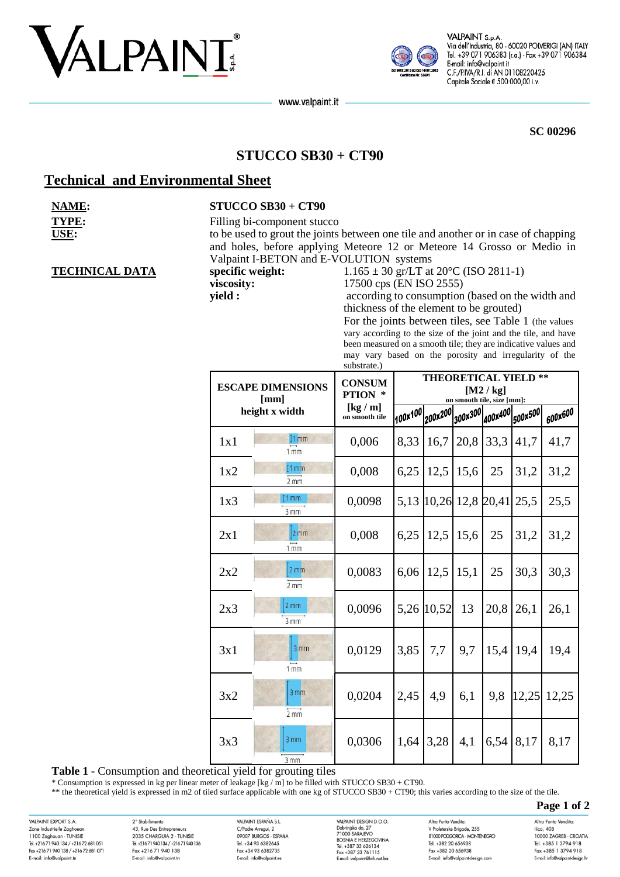



VALPAINT S.p.A. Via dell'Industria, 80 - 60020 POLVERIGI (AN) ITALY Tel. +39 071 906383 (r.a.) - Fax +39 071 906384 E-mail: info@valpaint.it C.F./P.IVA/R.I. di AN 01108220425 Capitale Sociale € 500.000,00 i.v.

www.valpaint.it

**SC 00296**

## **STUCCO SB30 + CT90**

### **Technical and Environmental Sheet**

| VIE:<br>NA. |  |
|-------------|--|
| YPI         |  |
| ⊾           |  |

# **NAME: STUCCO SB30 + CT90**

Filling bi-component stucco **USE:** to be used to grout the joints between one tile and another or in case of chapping and holes, before applying Meteore 12 or Meteore 14 Grosso or Medio in Valpaint I-BETON and E-VOLUTION systems

**TECHNICAL DATA specific weight:**  $1.165 \pm 30$  gr/LT at 20 $^{\circ}$ C (ISO 2811-1) **viscosity:** 17500 cps (EN ISO 2555) **yield :** according to consumption (based on the width and

thickness of the element to be grouted)

For the joints between tiles, see Table 1 (the values vary according to the size of the joint and the tile, and have been measured on a smooth tile; they are indicative values and may vary based on the porosity and irregularity of the substrate.)

| <b>ESCAPE DIMENSIONS</b><br>[mm]<br>height x width |                                   | <b>CONSUM</b><br><b>PTION</b> *<br>$\left[\text{kg}/\text{m}\right]$<br>on smooth tile | <b>THEORETICAL YIELD **</b><br>[ $M2 / kg$ ]<br>on smooth tile, size [mm]: |                    |                    |                  |         |         |
|----------------------------------------------------|-----------------------------------|----------------------------------------------------------------------------------------|----------------------------------------------------------------------------|--------------------|--------------------|------------------|---------|---------|
|                                                    |                                   |                                                                                        | 100x100]                                                                   | $ 200 \times 200 $ | $ 300 \times 300 $ | 400x400          | 500x500 | 600x600 |
| 1x1                                                | $11$ mm<br>1 <sub>mm</sub>        | 0,006                                                                                  | 8,33                                                                       | 16,7               | 20,8               | 33,3             | 41,7    | 41,7    |
| 1x2                                                | $11$ mm<br>2mm                    | 0,008                                                                                  | 6,25                                                                       | 12,5               | 15,6               | 25               | 31,2    | 31,2    |
| 1x3                                                | $11$ mm<br>3mm                    | 0,0098                                                                                 | 5,13                                                                       |                    |                    | 10,26 12,8 20,41 | 25,5    | 25,5    |
| 2x1                                                | $2 \text{ mm}$<br>1 <sub>mm</sub> | 0,008                                                                                  | 6,25                                                                       | 12,5               | 15,6               | 25               | 31,2    | 31,2    |
| 2x2                                                | 2mm<br>$2$ mm                     | 0,0083                                                                                 | 6,06                                                                       | 12,5               | 15,1               | 25               | 30,3    | 30,3    |
| 2x3                                                | 2 <sub>mm</sub><br>3mm            | 0,0096                                                                                 |                                                                            | 5,26 10,52         | 13                 | 20,8             | 26,1    | 26,1    |
| 3x1                                                | 3mm<br>1 <sub>mm</sub>            | 0,0129                                                                                 | 3,85                                                                       | 7,7                | 9,7                | 15,4             | 19,4    | 19,4    |
| 3x2                                                | $3 \, \text{mm}$<br>2mm           | 0,0204                                                                                 | 2,45                                                                       | 4,9                | 6,1                | 9,8              | 12,25   | 12,25   |
| 3x3                                                | 3mm<br>3mm                        | 0,0306                                                                                 | 1,64                                                                       | 3,28               | 4,1                | 6,54             | 8,17    | 8,17    |

**Table 1 -** Consumption and theoretical yield for grouting tiles

\* Consumption is expressed in kg per linear meter of leakage [kg / m] to be filled with STUCCO SB30 + CT90.

\*\* the theoretical yield is expressed in m2 of tiled surface applicable with one kg of STUCCO SB30 + CT90; this varies according to the size of the tile.

VAI PAINT FYPORT S.A. Zone Industrielle Zaghoua 1100 Zaghouan - TUNISIE<br>Tel. +216 71 940 134 / +216 72 681 051 Fax +216 71 940 138 / +216 72 681 071 E-mail: info@valpaint.tn

2° Stabilimento 43, Rue Des Entrepreneurs 2035 CHARGUIA 2 - TUNISIE Tel. +21671 940 134 / +21671 940 136 Fax +216 71 940 138 E-mail: info@valpaint.tn

VAIRAINIT ESPAÑA S I C/Padre Arregui, 2 09007 BURGOS - ESPAÑA Tel. +34 93 6382645 Fax +34 93 6382735 E-mail: info@valpaint.es

VAI PAINT DESIGN D O O VALPAINT DESIGN D.O.O.<br>Dobrinjska do, 27<br>71000 SARAJEVO<br>BOSNIA E HERZEGOVINA Tel. +387 33 626134 Fax +387 33 761115 E-mail: valpaint@bih.net.bo

Altro Punto Vendita V Proleterske Brigade, 255 **RIOO BODGORCA - MONTENEGRO** Tel. +382 20 656938 Fax +382 20 656938 E-mail: info@valpaint-design.com

**Page 1 of 2**

10000 ZAGREB - CROATIA

Tel. +385 1 3794 918

Fax +385 1 3794 918

E-mail: info@valpaint-desian.hr

Altro Punto Vendita:

Ilica, 408